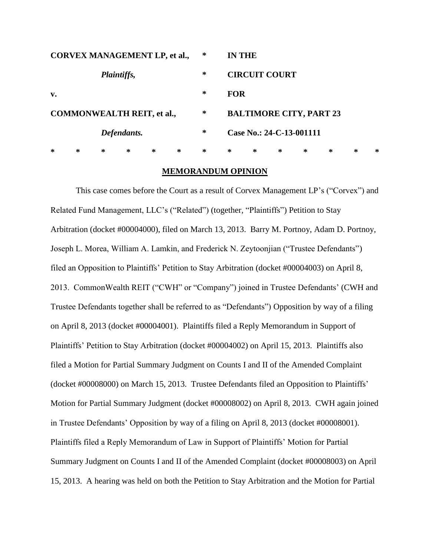| <b>CORVEX MANAGEMENT LP, et al.,</b> |   |   |   |   |   | ∗ |            | <b>IN THE</b>                  |   |   |   |        |   |  |
|--------------------------------------|---|---|---|---|---|---|------------|--------------------------------|---|---|---|--------|---|--|
| Plaintiffs,                          |   |   |   |   |   | ∗ |            | <b>CIRCUIT COURT</b>           |   |   |   |        |   |  |
| $\mathbf{v}$ .                       |   |   |   |   |   | ∗ | <b>FOR</b> |                                |   |   |   |        |   |  |
| <b>COMMONWEALTH REIT, et al.,</b>    |   |   |   |   |   | ∗ |            | <b>BALTIMORE CITY, PART 23</b> |   |   |   |        |   |  |
| Defendants.                          |   |   |   |   |   | ∗ |            | Case No.: 24-C-13-001111       |   |   |   |        |   |  |
| ∗                                    | ∗ | ∗ | ∗ | ∗ | ∗ | ∗ | ∗          | ∗                              | ∗ | ∗ | ∗ | $\ast$ | ∗ |  |

#### **MEMORANDUM OPINION**

This case comes before the Court as a result of Corvex Management LP"s ("Corvex") and Related Fund Management, LLC"s ("Related") (together, "Plaintiffs") Petition to Stay Arbitration (docket #00004000), filed on March 13, 2013. Barry M. Portnoy, Adam D. Portnoy, Joseph L. Morea, William A. Lamkin, and Frederick N. Zeytoonjian ("Trustee Defendants") filed an Opposition to Plaintiffs" Petition to Stay Arbitration (docket #00004003) on April 8, 2013. CommonWealth REIT ("CWH" or "Company") joined in Trustee Defendants' (CWH and Trustee Defendants together shall be referred to as "Defendants") Opposition by way of a filing on April 8, 2013 (docket #00004001). Plaintiffs filed a Reply Memorandum in Support of Plaintiffs" Petition to Stay Arbitration (docket #00004002) on April 15, 2013. Plaintiffs also filed a Motion for Partial Summary Judgment on Counts I and II of the Amended Complaint (docket #00008000) on March 15, 2013. Trustee Defendants filed an Opposition to Plaintiffs" Motion for Partial Summary Judgment (docket #00008002) on April 8, 2013. CWH again joined in Trustee Defendants" Opposition by way of a filing on April 8, 2013 (docket #00008001). Plaintiffs filed a Reply Memorandum of Law in Support of Plaintiffs" Motion for Partial Summary Judgment on Counts I and II of the Amended Complaint (docket #00008003) on April 15, 2013. A hearing was held on both the Petition to Stay Arbitration and the Motion for Partial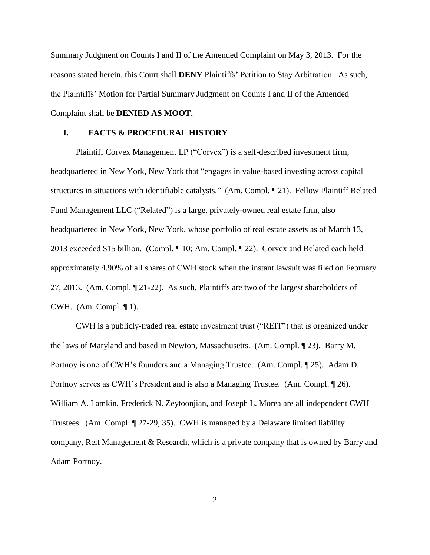Summary Judgment on Counts I and II of the Amended Complaint on May 3, 2013. For the reasons stated herein, this Court shall **DENY** Plaintiffs" Petition to Stay Arbitration. As such, the Plaintiffs" Motion for Partial Summary Judgment on Counts I and II of the Amended Complaint shall be **DENIED AS MOOT.**

## **I. FACTS & PROCEDURAL HISTORY**

Plaintiff Corvex Management LP ("Corvex") is a self-described investment firm, headquartered in New York, New York that "engages in value-based investing across capital structures in situations with identifiable catalysts." (Am. Compl. ¶ 21). Fellow Plaintiff Related Fund Management LLC ("Related") is a large, privately-owned real estate firm, also headquartered in New York, New York, whose portfolio of real estate assets as of March 13, 2013 exceeded \$15 billion. (Compl. ¶ 10; Am. Compl. ¶ 22). Corvex and Related each held approximately 4.90% of all shares of CWH stock when the instant lawsuit was filed on February 27, 2013. (Am. Compl. ¶ 21-22). As such, Plaintiffs are two of the largest shareholders of CWH. (Am. Compl. ¶ 1).

CWH is a publicly-traded real estate investment trust ("REIT") that is organized under the laws of Maryland and based in Newton, Massachusetts. (Am. Compl. ¶ 23). Barry M. Portnoy is one of CWH"s founders and a Managing Trustee. (Am. Compl. ¶ 25). Adam D. Portnoy serves as CWH"s President and is also a Managing Trustee. (Am. Compl. ¶ 26). William A. Lamkin, Frederick N. Zeytoonjian, and Joseph L. Morea are all independent CWH Trustees. (Am. Compl. ¶ 27-29, 35). CWH is managed by a Delaware limited liability company, Reit Management & Research, which is a private company that is owned by Barry and Adam Portnoy.

2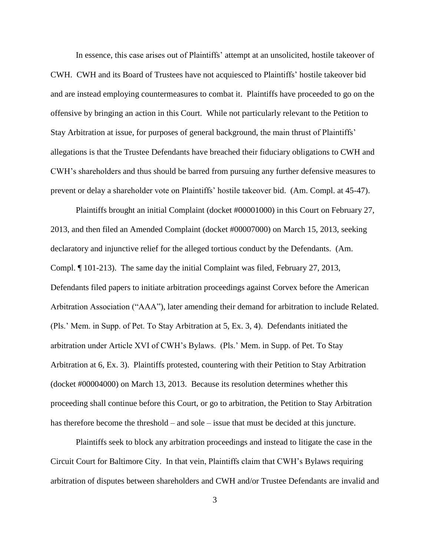In essence, this case arises out of Plaintiffs" attempt at an unsolicited, hostile takeover of CWH. CWH and its Board of Trustees have not acquiesced to Plaintiffs" hostile takeover bid and are instead employing countermeasures to combat it. Plaintiffs have proceeded to go on the offensive by bringing an action in this Court. While not particularly relevant to the Petition to Stay Arbitration at issue, for purposes of general background, the main thrust of Plaintiffs" allegations is that the Trustee Defendants have breached their fiduciary obligations to CWH and CWH"s shareholders and thus should be barred from pursuing any further defensive measures to prevent or delay a shareholder vote on Plaintiffs" hostile takeover bid. (Am. Compl. at 45-47).

Plaintiffs brought an initial Complaint (docket #00001000) in this Court on February 27, 2013, and then filed an Amended Complaint (docket #00007000) on March 15, 2013, seeking declaratory and injunctive relief for the alleged tortious conduct by the Defendants. (Am. Compl. ¶ 101-213). The same day the initial Complaint was filed, February 27, 2013, Defendants filed papers to initiate arbitration proceedings against Corvex before the American Arbitration Association ("AAA"), later amending their demand for arbitration to include Related. (Pls." Mem. in Supp. of Pet. To Stay Arbitration at 5, Ex. 3, 4). Defendants initiated the arbitration under Article XVI of CWH"s Bylaws. (Pls." Mem. in Supp. of Pet. To Stay Arbitration at 6, Ex. 3). Plaintiffs protested, countering with their Petition to Stay Arbitration (docket #00004000) on March 13, 2013. Because its resolution determines whether this proceeding shall continue before this Court, or go to arbitration, the Petition to Stay Arbitration has therefore become the threshold – and sole – issue that must be decided at this juncture.

Plaintiffs seek to block any arbitration proceedings and instead to litigate the case in the Circuit Court for Baltimore City. In that vein, Plaintiffs claim that CWH"s Bylaws requiring arbitration of disputes between shareholders and CWH and/or Trustee Defendants are invalid and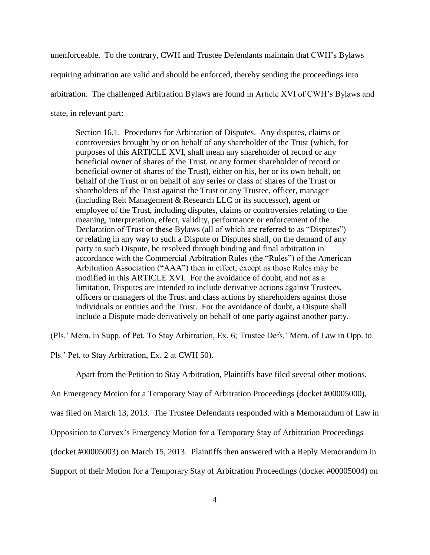unenforceable. To the contrary, CWH and Trustee Defendants maintain that CWH"s Bylaws requiring arbitration are valid and should be enforced, thereby sending the proceedings into arbitration. The challenged Arbitration Bylaws are found in Article XVI of CWH"s Bylaws and state, in relevant part:

Section 16.1. Procedures for Arbitration of Disputes. Any disputes, claims or controversies brought by or on behalf of any shareholder of the Trust (which, for purposes of this ARTICLE XVI, shall mean any shareholder of record or any beneficial owner of shares of the Trust, or any former shareholder of record or beneficial owner of shares of the Trust), either on his, her or its own behalf, on behalf of the Trust or on behalf of any series or class of shares of the Trust or shareholders of the Trust against the Trust or any Trustee, officer, manager (including Reit Management & Research LLC or its successor), agent or employee of the Trust, including disputes, claims or controversies relating to the meaning, interpretation, effect, validity, performance or enforcement of the Declaration of Trust or these Bylaws (all of which are referred to as "Disputes") or relating in any way to such a Dispute or Disputes shall, on the demand of any party to such Dispute, be resolved through binding and final arbitration in accordance with the Commercial Arbitration Rules (the "Rules") of the American Arbitration Association ("AAA") then in effect, except as those Rules may be modified in this ARTICLE XVI. For the avoidance of doubt, and not as a limitation, Disputes are intended to include derivative actions against Trustees, officers or managers of the Trust and class actions by shareholders against those individuals or entities and the Trust. For the avoidance of doubt, a Dispute shall include a Dispute made derivatively on behalf of one party against another party.

(Pls." Mem. in Supp. of Pet. To Stay Arbitration, Ex. 6; Trustee Defs." Mem. of Law in Opp. to

Pls." Pet. to Stay Arbitration, Ex. 2 at CWH 50).

Apart from the Petition to Stay Arbitration, Plaintiffs have filed several other motions.

An Emergency Motion for a Temporary Stay of Arbitration Proceedings (docket #00005000),

was filed on March 13, 2013. The Trustee Defendants responded with a Memorandum of Law in

Opposition to Corvex"s Emergency Motion for a Temporary Stay of Arbitration Proceedings

(docket #00005003) on March 15, 2013. Plaintiffs then answered with a Reply Memorandum in

Support of their Motion for a Temporary Stay of Arbitration Proceedings (docket #00005004) on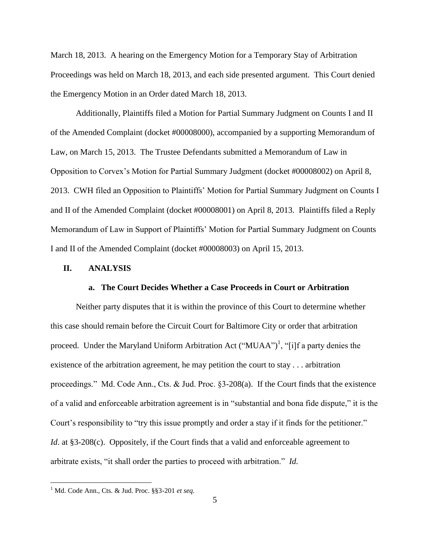March 18, 2013. A hearing on the Emergency Motion for a Temporary Stay of Arbitration Proceedings was held on March 18, 2013, and each side presented argument. This Court denied the Emergency Motion in an Order dated March 18, 2013.

Additionally, Plaintiffs filed a Motion for Partial Summary Judgment on Counts I and II of the Amended Complaint (docket #00008000), accompanied by a supporting Memorandum of Law, on March 15, 2013. The Trustee Defendants submitted a Memorandum of Law in Opposition to Corvex"s Motion for Partial Summary Judgment (docket #00008002) on April 8, 2013. CWH filed an Opposition to Plaintiffs" Motion for Partial Summary Judgment on Counts I and II of the Amended Complaint (docket #00008001) on April 8, 2013. Plaintiffs filed a Reply Memorandum of Law in Support of Plaintiffs" Motion for Partial Summary Judgment on Counts I and II of the Amended Complaint (docket #00008003) on April 15, 2013.

#### **II. ANALYSIS**

### **a. The Court Decides Whether a Case Proceeds in Court or Arbitration**

Neither party disputes that it is within the province of this Court to determine whether this case should remain before the Circuit Court for Baltimore City or order that arbitration proceed. Under the Maryland Uniform Arbitration Act  $("MUAA")^1$ , "[i]f a party denies the existence of the arbitration agreement, he may petition the court to stay . . . arbitration proceedings." Md. Code Ann., Cts. & Jud. Proc. §3-208(a). If the Court finds that the existence of a valid and enforceable arbitration agreement is in "substantial and bona fide dispute," it is the Court's responsibility to "try this issue promptly and order a stay if it finds for the petitioner." *Id.* at §3-208(c). Oppositely, if the Court finds that a valid and enforceable agreement to arbitrate exists, "it shall order the parties to proceed with arbitration." *Id.*

<sup>1</sup> Md. Code Ann., Cts. & Jud. Proc. §§3-201 *et seq.*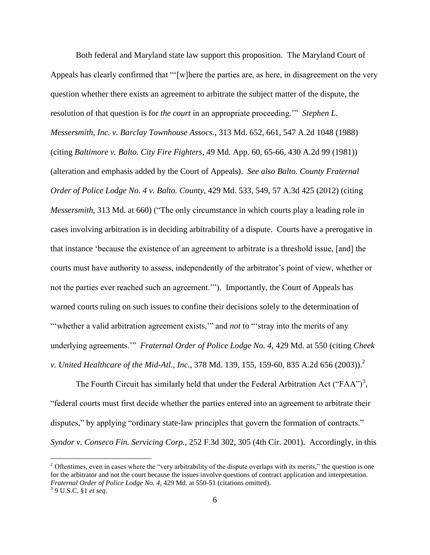Both federal and Maryland state law support this proposition. The Maryland Court of Appeals has clearly confirmed that ""[w]here the parties are, as here, in disagreement on the very question whether there exists an agreement to arbitrate the subject matter of the dispute, the resolution of that question is for *the court* in an appropriate proceeding."" *Stephen L. Messersmith, Inc. v. Barclay Townhouse Assocs.*, 313 Md. 652, 661, 547 A.2d 1048 (1988) (citing *Baltimore v. Balto. City Fire Fighters*, 49 Md. App. 60, 65-66, 430 A.2d 99 (1981)) (alteration and emphasis added by the Court of Appeals). *See also Balto. County Fraternal Order of Police Lodge No. 4 v. Balto. County*, 429 Md. 533, 549, 57 A.3d 425 (2012) (citing *Messersmith*, 313 Md. at 660) ("The only circumstance in which courts play a leading role in cases involving arbitration is in deciding arbitrability of a dispute. Courts have a prerogative in that instance "because the existence of an agreement to arbitrate is a threshold issue, [and] the courts must have authority to assess, independently of the arbitrator"s point of view, whether or not the parties ever reached such an agreement.""). Importantly, the Court of Appeals has warned courts ruling on such issues to confine their decisions solely to the determination of "whether a valid arbitration agreement exists," and *not* to "stray into the merits of any underlying agreements."" *Fraternal Order of Police Lodge No. 4*, 429 Md. at 550 (citing *Cheek v. United Healthcare of the Mid-Atl., Inc., 378 Md. 139, 155, 159-60, 835 A.2d 656 (2003)).*<sup>2</sup>

The Fourth Circuit has similarly held that under the Federal Arbitration Act ("FAA")<sup>3</sup>, "federal courts must first decide whether the parties entered into an agreement to arbitrate their disputes," by applying "ordinary state-law principles that govern the formation of contracts." *Syndor v. Conseco Fin. Servicing Corp.*, 252 F.3d 302, 305 (4th Cir. 2001). Accordingly, in this

 $2$  Oftentimes, even in cases where the "very arbitrability of the dispute overlaps with its merits," the question is one for the arbitrator and not the court because the issues involve questions of contract application and interpretation. *Fraternal Order of Police Lodge No. 4*, 429 Md. at 550-51 (citations omitted). 3 9 U.S.C. §1 *et seq.*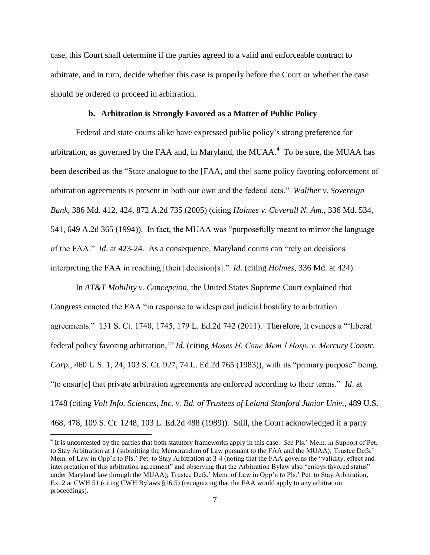case, this Court shall determine if the parties agreed to a valid and enforceable contract to arbitrate, and in turn, decide whether this case is properly before the Court or whether the case should be ordered to proceed in arbitration.

#### **b. Arbitration is Strongly Favored as a Matter of Public Policy**

Federal and state courts alike have expressed public policy"s strong preference for arbitration, as governed by the FAA and, in Maryland, the MUAA. $<sup>4</sup>$  To be sure, the MUAA has</sup> been described as the "State analogue to the [FAA, and the] same policy favoring enforcement of arbitration agreements is present in both our own and the federal acts." *Walther v. Sovereign Bank*, 386 Md. 412, 424, 872 A.2d 735 (2005) (citing *Holmes v. Coverall N. Am.*, 336 Md. 534, 541, 649 A.2d 365 (1994)). In fact, the MUAA was "purposefully meant to mirror the language of the FAA." *Id*. at 423-24. As a consequence, Maryland courts can "rely on decisions interpreting the FAA in reaching [their] decision[s]." *Id*. (citing *Holmes*, 336 Md. at 424).

In *AT&T Mobility v. Concepcion*, the United States Supreme Court explained that Congress enacted the FAA "in response to widespread judicial hostility to arbitration agreements." 131 S. Ct. 1740, 1745, 179 L. Ed.2d 742 (2011). Therefore, it evinces a ""liberal federal policy favoring arbitration,"" *Id*. (citing *Moses H. Cone Mem'l Hosp. v. Mercury Constr. Corp.*, 460 U.S. 1, 24, 103 S. Ct. 927, 74 L. Ed.2d 765 (1983)), with its "primary purpose" being "to ensur[e] that private arbitration agreements are enforced according to their terms." *Id*. at 1748 (citing *Volt Info. Sciences, Inc. v. Bd. of Trustees of Leland Stanford Junior Univ.*, 489 U.S. 468, 478, 109 S. Ct. 1248, 103 L. Ed.2d 488 (1989)). Still, the Court acknowledged if a party

<sup>4</sup> It is uncontested by the parties that both statutory frameworks apply in this case. *See* Pls." Mem. in Support of Pet. to Stay Arbitration at 1 (submitting the Memorandum of Law pursuant to the FAA and the MUAA); Trustee Defs." Mem. of Law in Opp"n to Pls." Pet. to Stay Arbitration at 3-4 (noting that the FAA governs the "validity, effect and interpretation of this arbitration agreement" and observing that the Arbitration Bylaw also "enjoys favored status" under Maryland law through the MUAA); Trustee Defs.' Mem. of Law in Opp'n to Pls.' Pet. to Stay Arbitration, Ex. 2 at CWH 51 (citing CWH Bylaws §16.5) (recognizing that the FAA would apply to any arbitration proceedings).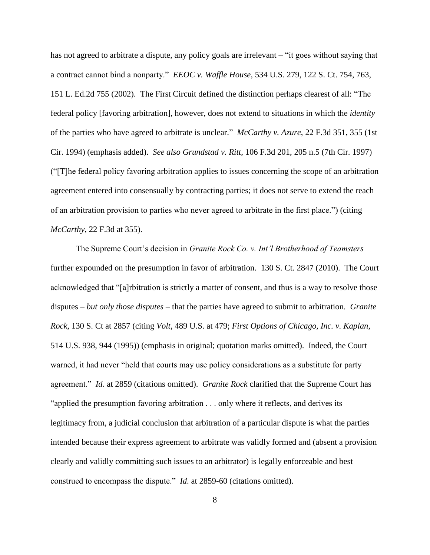has not agreed to arbitrate a dispute, any policy goals are irrelevant – "it goes without saying that a contract cannot bind a nonparty." *EEOC v. Waffle House*, 534 U.S. 279, 122 S. Ct. 754, 763, 151 L. Ed.2d 755 (2002). The First Circuit defined the distinction perhaps clearest of all: "The federal policy [favoring arbitration], however, does not extend to situations in which the *identity* of the parties who have agreed to arbitrate is unclear." *McCarthy v. Azure*, 22 F.3d 351, 355 (1st Cir. 1994) (emphasis added). *See also Grundstad v. Ritt*, 106 F.3d 201, 205 n.5 (7th Cir. 1997) ("[T]he federal policy favoring arbitration applies to issues concerning the scope of an arbitration agreement entered into consensually by contracting parties; it does not serve to extend the reach of an arbitration provision to parties who never agreed to arbitrate in the first place.") (citing *McCarthy*, 22 F.3d at 355).

The Supreme Court's decision in *Granite Rock Co. v. Int'l Brotherhood of Teamsters* further expounded on the presumption in favor of arbitration. 130 S. Ct. 2847 (2010). The Court acknowledged that "[a]rbitration is strictly a matter of consent, and thus is a way to resolve those disputes – *but only those disputes* – that the parties have agreed to submit to arbitration. *Granite Rock*, 130 S. Ct at 2857 (citing *Volt*, 489 U.S. at 479; *First Options of Chicago, Inc. v. Kaplan*, 514 U.S. 938, 944 (1995)) (emphasis in original; quotation marks omitted). Indeed, the Court warned, it had never "held that courts may use policy considerations as a substitute for party agreement." *Id*. at 2859 (citations omitted). *Granite Rock* clarified that the Supreme Court has "applied the presumption favoring arbitration . . . only where it reflects, and derives its legitimacy from, a judicial conclusion that arbitration of a particular dispute is what the parties intended because their express agreement to arbitrate was validly formed and (absent a provision clearly and validly committing such issues to an arbitrator) is legally enforceable and best construed to encompass the dispute." *Id*. at 2859-60 (citations omitted).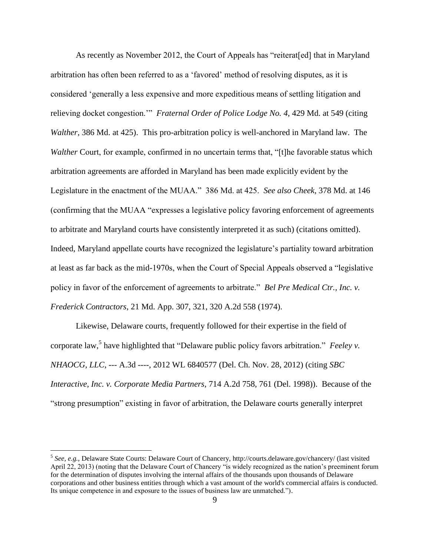As recently as November 2012, the Court of Appeals has "reiterat[ed] that in Maryland arbitration has often been referred to as a "favored" method of resolving disputes, as it is considered "generally a less expensive and more expeditious means of settling litigation and relieving docket congestion."" *Fraternal Order of Police Lodge No. 4*, 429 Md. at 549 (citing *Walther*, 386 Md. at 425). This pro-arbitration policy is well-anchored in Maryland law. The *Walther* Court, for example, confirmed in no uncertain terms that, "[t]he favorable status which arbitration agreements are afforded in Maryland has been made explicitly evident by the Legislature in the enactment of the MUAA." 386 Md. at 425. *See also Cheek*, 378 Md. at 146 (confirming that the MUAA "expresses a legislative policy favoring enforcement of agreements to arbitrate and Maryland courts have consistently interpreted it as such) (citations omitted). Indeed, Maryland appellate courts have recognized the legislature's partiality toward arbitration at least as far back as the mid-1970s, when the Court of Special Appeals observed a "legislative policy in favor of the enforcement of agreements to arbitrate." *Bel Pre Medical Ctr., Inc. v. Frederick Contractors*, 21 Md. App. 307, 321, 320 A.2d 558 (1974).

Likewise, Delaware courts, frequently followed for their expertise in the field of corporate law,<sup>5</sup> have highlighted that "Delaware public policy favors arbitration." *Feeley v. NHAOCG, LLC*, --- A.3d ----, 2012 WL 6840577 (Del. Ch. Nov. 28, 2012) (citing *SBC Interactive, Inc. v. Corporate Media Partners*, 714 A.2d 758, 761 (Del. 1998)). Because of the "strong presumption" existing in favor of arbitration, the Delaware courts generally interpret

<sup>5</sup> *See, e.g.*, Delaware State Courts: Delaware Court of Chancery, http://courts.delaware.gov/chancery/ (last visited April 22, 2013) (noting that the Delaware Court of Chancery "is widely recognized as the nation's preeminent forum for the determination of disputes involving the internal affairs of the thousands upon thousands of Delaware corporations and other business entities through which a vast amount of the world's commercial affairs is conducted. Its unique competence in and exposure to the issues of business law are unmatched.").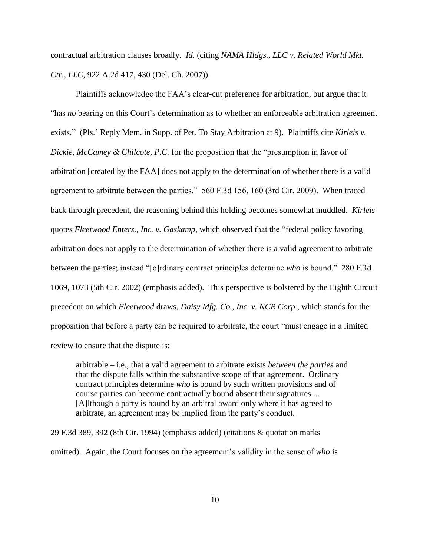contractual arbitration clauses broadly. *Id*. (citing *NAMA Hldgs., LLC v. Related World Mkt. Ctr., LLC*, 922 A.2d 417, 430 (Del. Ch. 2007)).

Plaintiffs acknowledge the FAA"s clear-cut preference for arbitration, but argue that it "has *no* bearing on this Court"s determination as to whether an enforceable arbitration agreement exists." (Pls." Reply Mem. in Supp. of Pet. To Stay Arbitration at 9). Plaintiffs cite *Kirleis v. Dickie, McCamey & Chilcote, P.C.* for the proposition that the "presumption in favor of arbitration [created by the FAA] does not apply to the determination of whether there is a valid agreement to arbitrate between the parties." 560 F.3d 156, 160 (3rd Cir. 2009). When traced back through precedent, the reasoning behind this holding becomes somewhat muddled. *Kirleis*  quotes *Fleetwood Enters., Inc. v. Gaskamp*, which observed that the "federal policy favoring arbitration does not apply to the determination of whether there is a valid agreement to arbitrate between the parties; instead "[o]rdinary contract principles determine *who* is bound." 280 F.3d 1069, 1073 (5th Cir. 2002) (emphasis added). This perspective is bolstered by the Eighth Circuit precedent on which *Fleetwood* draws, *Daisy Mfg. Co., Inc. v. NCR Corp.*, which stands for the proposition that before a party can be required to arbitrate, the court "must engage in a limited review to ensure that the dispute is:

arbitrable – i.e., that a valid agreement to arbitrate exists *between the parties* and that the dispute falls within the substantive scope of that agreement. Ordinary contract principles determine *who* is bound by such written provisions and of course parties can become contractually bound absent their signatures.... [A]lthough a party is bound by an arbitral award only where it has agreed to arbitrate, an agreement may be implied from the party"s conduct.

29 F.3d 389, 392 (8th Cir. 1994) (emphasis added) (citations & quotation marks omitted). Again, the Court focuses on the agreement"s validity in the sense of *who* is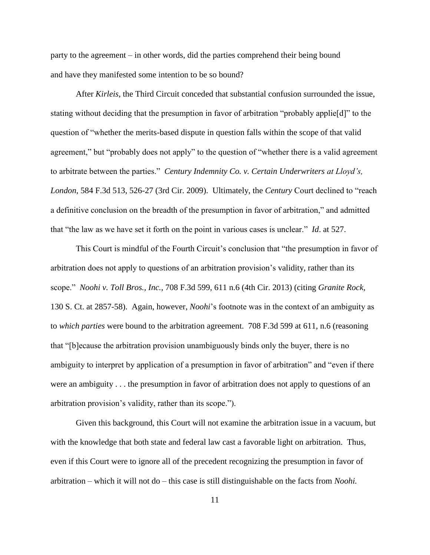party to the agreement – in other words, did the parties comprehend their being bound and have they manifested some intention to be so bound?

After *Kirleis*, the Third Circuit conceded that substantial confusion surrounded the issue, stating without deciding that the presumption in favor of arbitration "probably applie[d]" to the question of "whether the merits-based dispute in question falls within the scope of that valid agreement," but "probably does not apply" to the question of "whether there is a valid agreement to arbitrate between the parties." *Century Indemnity Co. v. Certain Underwriters at Lloyd's, London*, 584 F.3d 513, 526-27 (3rd Cir. 2009). Ultimately, the *Century* Court declined to "reach a definitive conclusion on the breadth of the presumption in favor of arbitration," and admitted that "the law as we have set it forth on the point in various cases is unclear." *Id*. at 527.

This Court is mindful of the Fourth Circuit's conclusion that "the presumption in favor of arbitration does not apply to questions of an arbitration provision"s validity, rather than its scope." *Noohi v. Toll Bros., Inc.*, 708 F.3d 599, 611 n.6 (4th Cir. 2013) (citing *Granite Rock*, 130 S. Ct. at 2857-58). Again, however, *Noohi*"s footnote was in the context of an ambiguity as to *which parties* were bound to the arbitration agreement. 708 F.3d 599 at 611, n.6 (reasoning that "[b]ecause the arbitration provision unambiguously binds only the buyer, there is no ambiguity to interpret by application of a presumption in favor of arbitration" and "even if there were an ambiguity . . . the presumption in favor of arbitration does not apply to questions of an arbitration provision"s validity, rather than its scope.").

Given this background, this Court will not examine the arbitration issue in a vacuum, but with the knowledge that both state and federal law cast a favorable light on arbitration. Thus, even if this Court were to ignore all of the precedent recognizing the presumption in favor of arbitration – which it will not do – this case is still distinguishable on the facts from *Noohi.*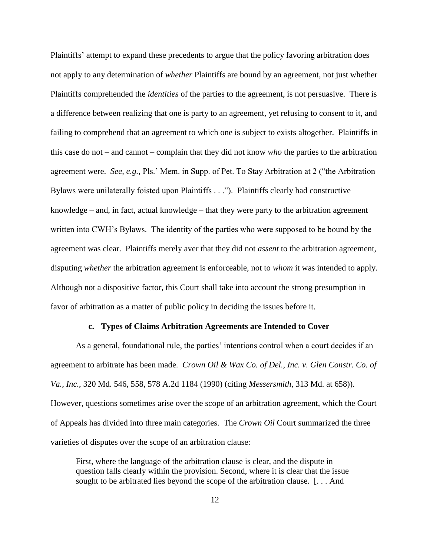Plaintiffs" attempt to expand these precedents to argue that the policy favoring arbitration does not apply to any determination of *whether* Plaintiffs are bound by an agreement, not just whether Plaintiffs comprehended the *identities* of the parties to the agreement, is not persuasive. There is a difference between realizing that one is party to an agreement, yet refusing to consent to it, and failing to comprehend that an agreement to which one is subject to exists altogether. Plaintiffs in this case do not – and cannot – complain that they did not know *who* the parties to the arbitration agreement were. *See, e.g.*, Pls." Mem. in Supp. of Pet. To Stay Arbitration at 2 ("the Arbitration Bylaws were unilaterally foisted upon Plaintiffs . . ."). Plaintiffs clearly had constructive knowledge – and, in fact, actual knowledge – that they were party to the arbitration agreement written into CWH"s Bylaws. The identity of the parties who were supposed to be bound by the agreement was clear. Plaintiffs merely aver that they did not *assent* to the arbitration agreement, disputing *whether* the arbitration agreement is enforceable, not to *whom* it was intended to apply. Although not a dispositive factor, this Court shall take into account the strong presumption in favor of arbitration as a matter of public policy in deciding the issues before it.

#### **c. Types of Claims Arbitration Agreements are Intended to Cover**

As a general, foundational rule, the parties' intentions control when a court decides if an agreement to arbitrate has been made. *Crown Oil & Wax Co. of Del., Inc. v. Glen Constr. Co. of Va., Inc.*, 320 Md. 546, 558, 578 A.2d 1184 (1990) (citing *Messersmith*, 313 Md. at 658)). However, questions sometimes arise over the scope of an arbitration agreement, which the Court of Appeals has divided into three main categories. The *Crown Oil* Court summarized the three varieties of disputes over the scope of an arbitration clause:

First, where the language of the arbitration clause is clear, and the dispute in question falls clearly within the provision. Second, where it is clear that the issue sought to be arbitrated lies beyond the scope of the arbitration clause. [. . . And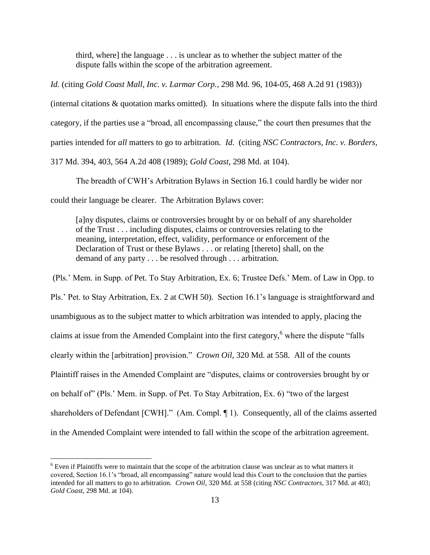third, where] the language . . . is unclear as to whether the subject matter of the dispute falls within the scope of the arbitration agreement.

*Id.* (citing *Gold Coast Mall, Inc. v. Larmar Corp.*, 298 Md. 96, 104-05, 468 A.2d 91 (1983)) (internal citations & quotation marks omitted). In situations where the dispute falls into the third category, if the parties use a "broad, all encompassing clause," the court then presumes that the parties intended for *all* matters to go to arbitration. *Id*. (citing *NSC Contractors, Inc. v. Borders*, 317 Md. 394, 403, 564 A.2d 408 (1989); *Gold Coast*, 298 Md. at 104).

The breadth of CWH"s Arbitration Bylaws in Section 16.1 could hardly be wider nor could their language be clearer. The Arbitration Bylaws cover:

[a]ny disputes, claims or controversies brought by or on behalf of any shareholder of the Trust . . . including disputes, claims or controversies relating to the meaning, interpretation, effect, validity, performance or enforcement of the Declaration of Trust or these Bylaws . . . or relating [thereto] shall, on the demand of any party . . . be resolved through . . . arbitration.

(Pls." Mem. in Supp. of Pet. To Stay Arbitration, Ex. 6; Trustee Defs." Mem. of Law in Opp. to Pls." Pet. to Stay Arbitration, Ex. 2 at CWH 50). Section 16.1"s language is straightforward and unambiguous as to the subject matter to which arbitration was intended to apply, placing the claims at issue from the Amended Complaint into the first category,<sup>6</sup> where the dispute "falls" clearly within the [arbitration] provision." *Crown Oil*, 320 Md. at 558. All of the counts Plaintiff raises in the Amended Complaint are "disputes, claims or controversies brought by or on behalf of" (Pls." Mem. in Supp. of Pet. To Stay Arbitration, Ex. 6) "two of the largest shareholders of Defendant [CWH]." (Am. Compl. 1). Consequently, all of the claims asserted in the Amended Complaint were intended to fall within the scope of the arbitration agreement.

 $6$  Even if Plaintiffs were to maintain that the scope of the arbitration clause was unclear as to what matters it covered, Section 16.1"s "broad, all encompassing" nature would lead this Court to the conclusion that the parties intended for all matters to go to arbitration. *Crown Oil*, 320 Md. at 558 (citing *NSC Contractors*, 317 Md. at 403; *Gold Coast*, 298 Md. at 104).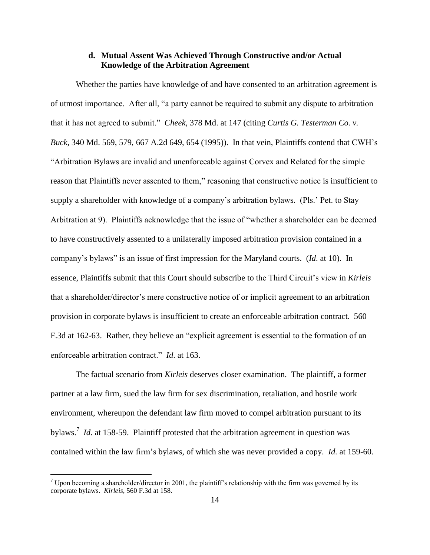# **d. Mutual Assent Was Achieved Through Constructive and/or Actual Knowledge of the Arbitration Agreement**

Whether the parties have knowledge of and have consented to an arbitration agreement is of utmost importance. After all, "a party cannot be required to submit any dispute to arbitration that it has not agreed to submit." *Cheek*, 378 Md. at 147 (citing *Curtis G. Testerman Co. v. Buck*, 340 Md. 569, 579, 667 A.2d 649, 654 (1995)).In that vein, Plaintiffs contend that CWH"s "Arbitration Bylaws are invalid and unenforceable against Corvex and Related for the simple reason that Plaintiffs never assented to them," reasoning that constructive notice is insufficient to supply a shareholder with knowledge of a company's arbitration bylaws. (Pls.' Pet. to Stay Arbitration at 9). Plaintiffs acknowledge that the issue of "whether a shareholder can be deemed to have constructively assented to a unilaterally imposed arbitration provision contained in a company"s bylaws" is an issue of first impression for the Maryland courts. (*Id*. at 10). In essence, Plaintiffs submit that this Court should subscribe to the Third Circuit's view in *Kirleis* that a shareholder/director"s mere constructive notice of or implicit agreement to an arbitration provision in corporate bylaws is insufficient to create an enforceable arbitration contract. 560 F.3d at 162-63. Rather, they believe an "explicit agreement is essential to the formation of an enforceable arbitration contract." *Id*. at 163.

The factual scenario from *Kirleis* deserves closer examination. The plaintiff, a former partner at a law firm, sued the law firm for sex discrimination, retaliation, and hostile work environment, whereupon the defendant law firm moved to compel arbitration pursuant to its bylaws.<sup>7</sup> *Id*. at 158-59. Plaintiff protested that the arbitration agreement in question was contained within the law firm"s bylaws, of which she was never provided a copy. *Id.* at 159-60.

<sup>&</sup>lt;sup>7</sup> Upon becoming a shareholder/director in 2001, the plaintiff's relationship with the firm was governed by its corporate bylaws. *Kirleis*, 560 F.3d at 158.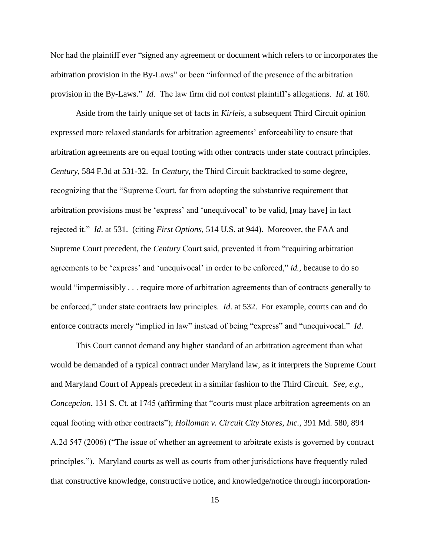Nor had the plaintiff ever "signed any agreement or document which refers to or incorporates the arbitration provision in the By-Laws" or been "informed of the presence of the arbitration provision in the By-Laws." *Id*. The law firm did not contest plaintiff"s allegations. *Id*. at 160.

Aside from the fairly unique set of facts in *Kirleis*, a subsequent Third Circuit opinion expressed more relaxed standards for arbitration agreements" enforceability to ensure that arbitration agreements are on equal footing with other contracts under state contract principles. *Century*, 584 F.3d at 531-32. In *Century*, the Third Circuit backtracked to some degree, recognizing that the "Supreme Court, far from adopting the substantive requirement that arbitration provisions must be "express" and "unequivocal" to be valid, [may have] in fact rejected it." *Id*. at 531. (citing *First Options*, 514 U.S. at 944). Moreover, the FAA and Supreme Court precedent, the *Century* Court said, prevented it from "requiring arbitration agreements to be 'express' and 'unequivocal' in order to be enforced," *id.*, because to do so would "impermissibly . . . require more of arbitration agreements than of contracts generally to be enforced," under state contracts law principles. *Id*. at 532. For example, courts can and do enforce contracts merely "implied in law" instead of being "express" and "unequivocal." *Id*.

This Court cannot demand any higher standard of an arbitration agreement than what would be demanded of a typical contract under Maryland law, as it interprets the Supreme Court and Maryland Court of Appeals precedent in a similar fashion to the Third Circuit. *See, e.g.*, *Concepcion*, 131 S. Ct. at 1745 (affirming that "courts must place arbitration agreements on an equal footing with other contracts"); *Holloman v. Circuit City Stores, Inc.*, 391 Md. 580, 894 A.2d 547 (2006) ("The issue of whether an agreement to arbitrate exists is governed by contract principles."). Maryland courts as well as courts from other jurisdictions have frequently ruled that constructive knowledge, constructive notice, and knowledge/notice through incorporation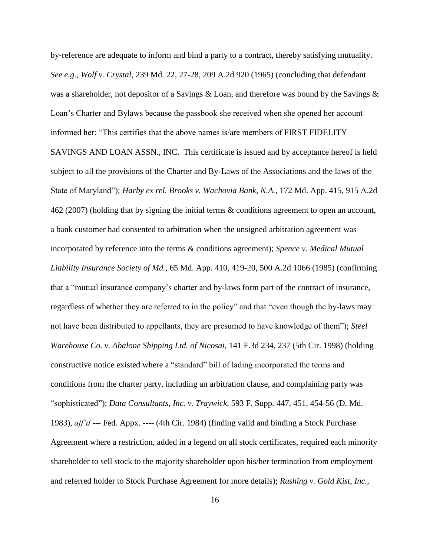by-reference are adequate to inform and bind a party to a contract, thereby satisfying mutuality. *See e.g.*, *Wolf v. Crystal*, 239 Md. 22, 27-28, 209 A.2d 920 (1965) (concluding that defendant was a shareholder, not depositor of a Savings & Loan, and therefore was bound by the Savings  $\&$ Loan"s Charter and Bylaws because the passbook she received when she opened her account informed her: "This certifies that the above names is/are members of FIRST FIDELITY SAVINGS AND LOAN ASSN., INC. This certificate is issued and by acceptance hereof is held subject to all the provisions of the Charter and By-Laws of the Associations and the laws of the State of Maryland"); *Harby ex rel. Brooks v. Wachovia Bank, N.A.*, 172 Md. App. 415, 915 A.2d 462 (2007) (holding that by signing the initial terms & conditions agreement to open an account, a bank customer had consented to arbitration when the unsigned arbitration agreement was incorporated by reference into the terms & conditions agreement); *Spence v. Medical Mutual Liability Insurance Society of Md.*, 65 Md. App. 410, 419-20, 500 A.2d 1066 (1985) (confirming that a "mutual insurance company"s charter and by-laws form part of the contract of insurance, regardless of whether they are referred to in the policy" and that "even though the by-laws may not have been distributed to appellants, they are presumed to have knowledge of them"); *Steel Warehouse Co. v. Abalone Shipping Ltd. of Nicosai*, 141 F.3d 234, 237 (5th Cir. 1998) (holding constructive notice existed where a "standard" bill of lading incorporated the terms and conditions from the charter party, including an arbitration clause, and complaining party was "sophisticated"); *Data Consultants, Inc. v. Traywick*, 593 F. Supp. 447, 451, 454-56 (D. Md. 1983), *aff'd* --- Fed. Appx. ---- (4th Cir. 1984) (finding valid and binding a Stock Purchase Agreement where a restriction, added in a legend on all stock certificates, required each minority shareholder to sell stock to the majority shareholder upon his/her termination from employment and referred holder to Stock Purchase Agreement for more details); *Rushing v. Gold Kist, Inc.*,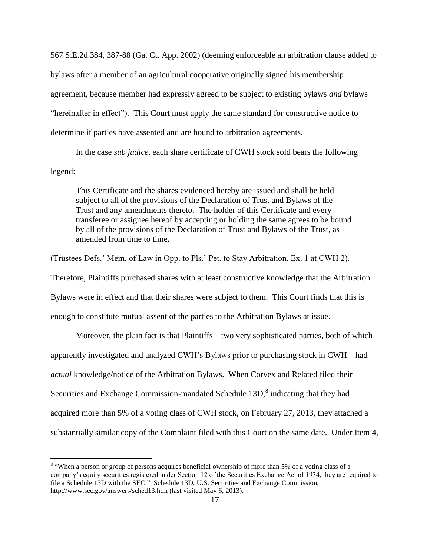567 S.E.2d 384, 387-88 (Ga. Ct. App. 2002) (deeming enforceable an arbitration clause added to bylaws after a member of an agricultural cooperative originally signed his membership agreement, because member had expressly agreed to be subject to existing bylaws *and* bylaws "hereinafter in effect").This Court must apply the same standard for constructive notice to determine if parties have assented and are bound to arbitration agreements.

In the case *sub judice*, each share certificate of CWH stock sold bears the following legend:

This Certificate and the shares evidenced hereby are issued and shall be held subject to all of the provisions of the Declaration of Trust and Bylaws of the Trust and any amendments thereto. The holder of this Certificate and every transferee or assignee hereof by accepting or holding the same agrees to be bound by all of the provisions of the Declaration of Trust and Bylaws of the Trust, as amended from time to time.

(Trustees Defs." Mem. of Law in Opp. to Pls." Pet. to Stay Arbitration, Ex. 1 at CWH 2). Therefore, Plaintiffs purchased shares with at least constructive knowledge that the Arbitration Bylaws were in effect and that their shares were subject to them. This Court finds that this is enough to constitute mutual assent of the parties to the Arbitration Bylaws at issue.

Moreover, the plain fact is that Plaintiffs – two very sophisticated parties, both of which apparently investigated and analyzed CWH"s Bylaws prior to purchasing stock in CWH – had *actual* knowledge/notice of the Arbitration Bylaws. When Corvex and Related filed their Securities and Exchange Commission-mandated Schedule 13D,<sup>8</sup> indicating that they had acquired more than 5% of a voting class of CWH stock, on February 27, 2013, they attached a substantially similar copy of the Complaint filed with this Court on the same date. Under Item 4,

<sup>&</sup>lt;sup>8</sup> "When a person or group of persons acquires beneficial ownership of more than 5% of a voting class of a company"s equity securities registered under Section 12 of the Securities Exchange Act of 1934, they are required to file a Schedule 13D with the SEC." Schedule 13D, U.S. Securities and Exchange Commission, http://www.sec.gov/answers/sched13.htm (last visited May 6, 2013).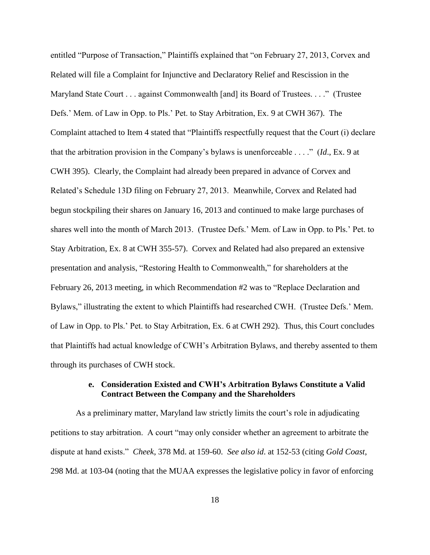entitled "Purpose of Transaction," Plaintiffs explained that "on February 27, 2013, Corvex and Related will file a Complaint for Injunctive and Declaratory Relief and Rescission in the Maryland State Court . . . against Commonwealth [and] its Board of Trustees. . . ." (Trustee Defs." Mem. of Law in Opp. to Pls." Pet. to Stay Arbitration, Ex. 9 at CWH 367). The Complaint attached to Item 4 stated that "Plaintiffs respectfully request that the Court (i) declare that the arbitration provision in the Company"s bylaws is unenforceable . . . ." (*Id*., Ex. 9 at CWH 395). Clearly, the Complaint had already been prepared in advance of Corvex and Related"s Schedule 13D filing on February 27, 2013. Meanwhile, Corvex and Related had begun stockpiling their shares on January 16, 2013 and continued to make large purchases of shares well into the month of March 2013. (Trustee Defs." Mem. of Law in Opp. to Pls." Pet. to Stay Arbitration, Ex. 8 at CWH 355-57). Corvex and Related had also prepared an extensive presentation and analysis, "Restoring Health to Commonwealth," for shareholders at the February 26, 2013 meeting, in which Recommendation #2 was to "Replace Declaration and Bylaws," illustrating the extent to which Plaintiffs had researched CWH. (Trustee Defs." Mem. of Law in Opp. to Pls." Pet. to Stay Arbitration, Ex. 6 at CWH 292). Thus, this Court concludes that Plaintiffs had actual knowledge of CWH"s Arbitration Bylaws, and thereby assented to them through its purchases of CWH stock.

# **e. Consideration Existed and CWH's Arbitration Bylaws Constitute a Valid Contract Between the Company and the Shareholders**

As a preliminary matter, Maryland law strictly limits the court"s role in adjudicating petitions to stay arbitration. A court "may only consider whether an agreement to arbitrate the dispute at hand exists." *Cheek*, 378 Md. at 159-60. *See also id*. at 152-53 (citing *Gold Coast*, 298 Md. at 103-04 (noting that the MUAA expresses the legislative policy in favor of enforcing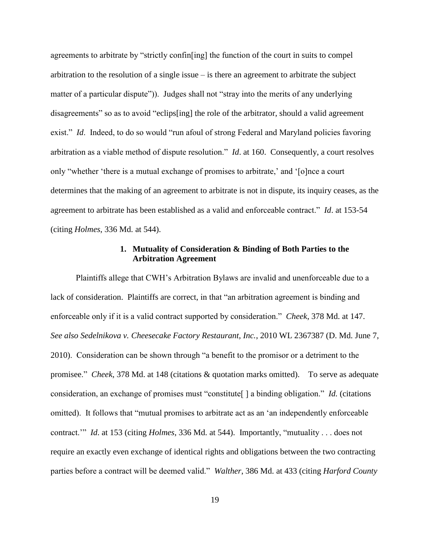agreements to arbitrate by "strictly confin[ing] the function of the court in suits to compel arbitration to the resolution of a single issue – is there an agreement to arbitrate the subject matter of a particular dispute")). Judges shall not "stray into the merits of any underlying disagreements" so as to avoid "eclips[ing] the role of the arbitrator, should a valid agreement exist." *Id.* Indeed, to do so would "run afoul of strong Federal and Maryland policies favoring arbitration as a viable method of dispute resolution." *Id*. at 160. Consequently, a court resolves only "whether 'there is a mutual exchange of promises to arbitrate,' and '[o]nce a court determines that the making of an agreement to arbitrate is not in dispute, its inquiry ceases, as the agreement to arbitrate has been established as a valid and enforceable contract." *Id*. at 153-54 (citing *Holmes*, 336 Md. at 544).

# **1. Mutuality of Consideration & Binding of Both Parties to the Arbitration Agreement**

Plaintiffs allege that CWH"s Arbitration Bylaws are invalid and unenforceable due to a lack of consideration. Plaintiffs are correct, in that "an arbitration agreement is binding and enforceable only if it is a valid contract supported by consideration." *Cheek*, 378 Md. at 147. *See also Sedelnikova v. Cheesecake Factory Restaurant, Inc.*, 2010 WL 2367387 (D. Md. June 7, 2010). Consideration can be shown through "a benefit to the promisor or a detriment to the promisee." *Cheek*, 378 Md. at 148 (citations & quotation marks omitted). To serve as adequate consideration, an exchange of promises must "constitute[ ] a binding obligation." *Id.* (citations omitted). It follows that "mutual promises to arbitrate act as an "an independently enforceable contract."" *Id*. at 153 (citing *Holmes*, 336 Md. at 544). Importantly, "mutuality . . . does not require an exactly even exchange of identical rights and obligations between the two contracting parties before a contract will be deemed valid." *Walther*, 386 Md. at 433 (citing *Harford County*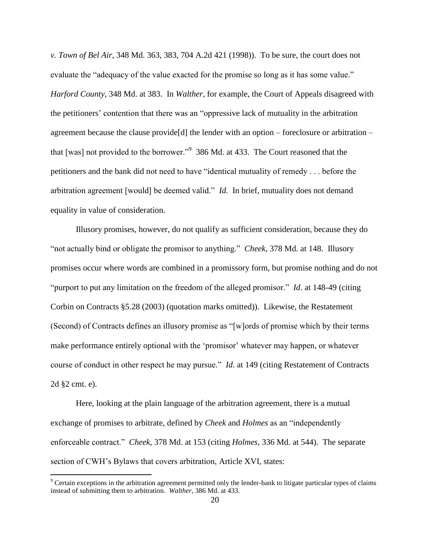*v. Town of Bel Air*, 348 Md. 363, 383, 704 A.2d 421 (1998)). To be sure, the court does not evaluate the "adequacy of the value exacted for the promise so long as it has some value." *Harford County*, 348 Md. at 383. In *Walther*, for example, the Court of Appeals disagreed with the petitioners" contention that there was an "oppressive lack of mutuality in the arbitration agreement because the clause provide[d] the lender with an option – foreclosure or arbitration – that [was] not provided to the borrower."<sup>9</sup> 386 Md. at 433. The Court reasoned that the petitioners and the bank did not need to have "identical mutuality of remedy . . . before the arbitration agreement [would] be deemed valid." *Id.* In brief, mutuality does not demand equality in value of consideration.

Illusory promises, however, do not qualify as sufficient consideration, because they do "not actually bind or obligate the promisor to anything." *Cheek*, 378 Md. at 148. Illusory promises occur where words are combined in a promissory form, but promise nothing and do not "purport to put any limitation on the freedom of the alleged promisor." *Id*. at 148-49 (citing Corbin on Contracts §5.28 (2003) (quotation marks omitted)). Likewise, the Restatement (Second) of Contracts defines an illusory promise as "[w]ords of promise which by their terms make performance entirely optional with the 'promisor' whatever may happen, or whatever course of conduct in other respect he may pursue." *Id*. at 149 (citing Restatement of Contracts 2d §2 cmt. e).

Here, looking at the plain language of the arbitration agreement, there is a mutual exchange of promises to arbitrate, defined by *Cheek* and *Holmes* as an "independently enforceable contract." *Cheek*, 378 Md. at 153 (citing *Holmes*, 336 Md. at 544). The separate section of CWH's Bylaws that covers arbitration, Article XVI, states:

<sup>9</sup> Certain exceptions in the arbitration agreement permitted only the lender-bank to litigate particular types of claims instead of submitting them to arbitration. *Walther*, 386 Md. at 433.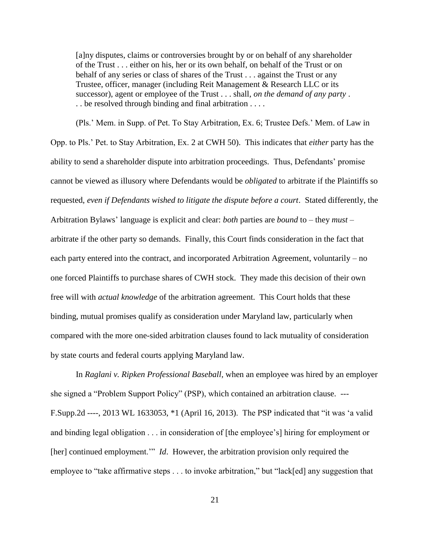[a]ny disputes, claims or controversies brought by or on behalf of any shareholder of the Trust . . . either on his, her or its own behalf, on behalf of the Trust or on behalf of any series or class of shares of the Trust . . . against the Trust or any Trustee, officer, manager (including Reit Management & Research LLC or its successor), agent or employee of the Trust . . . shall, *on the demand of any party* . . . be resolved through binding and final arbitration . . . .

(Pls." Mem. in Supp. of Pet. To Stay Arbitration, Ex. 6; Trustee Defs." Mem. of Law in Opp. to Pls." Pet. to Stay Arbitration, Ex. 2 at CWH 50). This indicates that *either* party has the ability to send a shareholder dispute into arbitration proceedings. Thus, Defendants' promise cannot be viewed as illusory where Defendants would be *obligated* to arbitrate if the Plaintiffs so requested, *even if Defendants wished to litigate the dispute before a court*. Stated differently, the Arbitration Bylaws" language is explicit and clear: *both* parties are *bound* to – they *must* – arbitrate if the other party so demands. Finally, this Court finds consideration in the fact that each party entered into the contract, and incorporated Arbitration Agreement, voluntarily – no one forced Plaintiffs to purchase shares of CWH stock. They made this decision of their own free will with *actual knowledge* of the arbitration agreement. This Court holds that these binding, mutual promises qualify as consideration under Maryland law, particularly when compared with the more one-sided arbitration clauses found to lack mutuality of consideration by state courts and federal courts applying Maryland law.

In *Raglani v. Ripken Professional Baseball*, when an employee was hired by an employer she signed a "Problem Support Policy" (PSP), which contained an arbitration clause. --- F.Supp.2d ----, 2013 WL 1633053, \*1 (April 16, 2013). The PSP indicated that "it was "a valid and binding legal obligation . . . in consideration of [the employee"s] hiring for employment or [her] continued employment."" *Id*. However, the arbitration provision only required the employee to "take affirmative steps . . . to invoke arbitration," but "lack[ed] any suggestion that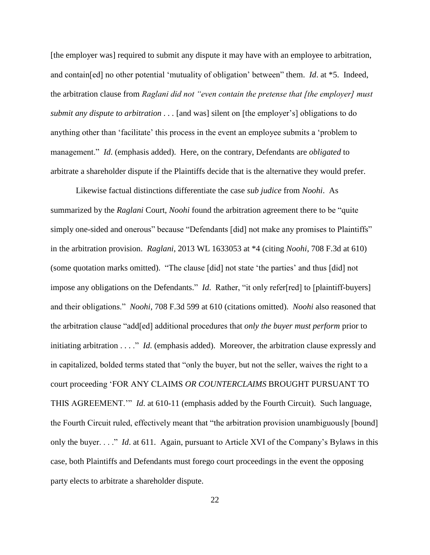[the employer was] required to submit any dispute it may have with an employee to arbitration, and contain[ed] no other potential "mutuality of obligation" between" them. *Id*. at \*5. Indeed, the arbitration clause from *Raglani did not "even contain the pretense that [the employer] must submit any dispute to arbitration* . . . [and was] silent on [the employer's] obligations to do anything other than "facilitate" this process in the event an employee submits a "problem to management." *Id*. (emphasis added). Here, on the contrary, Defendants are *obligated* to arbitrate a shareholder dispute if the Plaintiffs decide that is the alternative they would prefer.

Likewise factual distinctions differentiate the case *sub judice* from *Noohi*. As summarized by the *Raglani* Court, *Noohi* found the arbitration agreement there to be "quite simply one-sided and onerous" because "Defendants [did] not make any promises to Plaintiffs" in the arbitration provision. *Raglani*, 2013 WL 1633053 at \*4 (citing *Noohi*, 708 F.3d at 610) (some quotation marks omitted). "The clause [did] not state "the parties" and thus [did] not impose any obligations on the Defendants." *Id*. Rather, "it only refer[red] to [plaintiff-buyers] and their obligations." *Noohi*, 708 F.3d 599 at 610 (citations omitted). *Noohi* also reasoned that the arbitration clause "add[ed] additional procedures that *only the buyer must perform* prior to initiating arbitration . . . ." *Id*. (emphasis added). Moreover, the arbitration clause expressly and in capitalized, bolded terms stated that "only the buyer, but not the seller, waives the right to a court proceeding "FOR ANY CLAIMS *OR COUNTERCLAIMS* BROUGHT PURSUANT TO THIS AGREEMENT."" *Id*. at 610-11 (emphasis added by the Fourth Circuit). Such language, the Fourth Circuit ruled, effectively meant that "the arbitration provision unambiguously [bound] only the buyer. . . ." *Id*. at 611. Again, pursuant to Article XVI of the Company"s Bylaws in this case, both Plaintiffs and Defendants must forego court proceedings in the event the opposing party elects to arbitrate a shareholder dispute.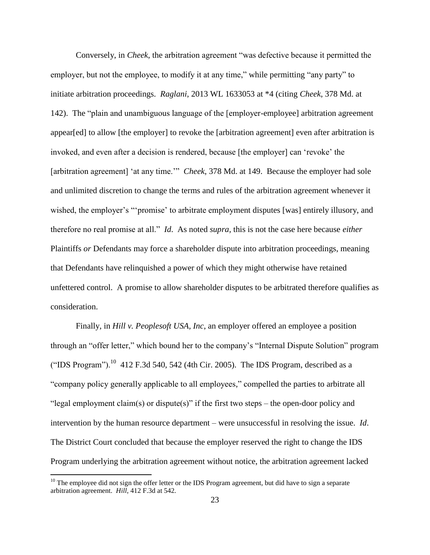Conversely, in *Cheek*, the arbitration agreement "was defective because it permitted the employer, but not the employee, to modify it at any time," while permitting "any party" to initiate arbitration proceedings. *Raglani*, 2013 WL 1633053 at \*4 (citing *Cheek*, 378 Md. at 142). The "plain and unambiguous language of the [employer-employee] arbitration agreement appear[ed] to allow [the employer] to revoke the [arbitration agreement] even after arbitration is invoked, and even after a decision is rendered, because [the employer] can "revoke" the [arbitration agreement] 'at any time."" *Cheek*, 378 Md. at 149. Because the employer had sole and unlimited discretion to change the terms and rules of the arbitration agreement whenever it wished, the employer's ""promise" to arbitrate employment disputes [was] entirely illusory, and therefore no real promise at all." *Id*. As noted *supra,* this is not the case here because *either*  Plaintiffs *or* Defendants may force a shareholder dispute into arbitration proceedings, meaning that Defendants have relinquished a power of which they might otherwise have retained unfettered control. A promise to allow shareholder disputes to be arbitrated therefore qualifies as consideration.

Finally, in *Hill v. Peoplesoft USA, Inc*, an employer offered an employee a position through an "offer letter," which bound her to the company"s "Internal Dispute Solution" program ("IDS Program").<sup>10</sup> 412 F.3d 540, 542 (4th Cir. 2005). The IDS Program, described as a "company policy generally applicable to all employees," compelled the parties to arbitrate all "legal employment claim(s) or dispute(s)" if the first two steps – the open-door policy and intervention by the human resource department – were unsuccessful in resolving the issue. *Id*. The District Court concluded that because the employer reserved the right to change the IDS Program underlying the arbitration agreement without notice, the arbitration agreement lacked

 $10$  The employee did not sign the offer letter or the IDS Program agreement, but did have to sign a separate arbitration agreement. *Hill*, 412 F.3d at 542.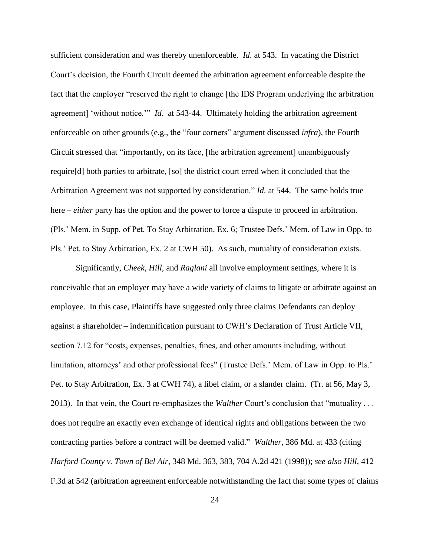sufficient consideration and was thereby unenforceable. *Id*. at 543. In vacating the District Court"s decision, the Fourth Circuit deemed the arbitration agreement enforceable despite the fact that the employer "reserved the right to change [the IDS Program underlying the arbitration agreement] 'without notice.'" *Id.* at 543-44. Ultimately holding the arbitration agreement enforceable on other grounds (e.g., the "four corners" argument discussed *infra*), the Fourth Circuit stressed that "importantly, on its face, [the arbitration agreement] unambiguously require[d] both parties to arbitrate, [so] the district court erred when it concluded that the Arbitration Agreement was not supported by consideration." *Id*. at 544. The same holds true here – *either* party has the option and the power to force a dispute to proceed in arbitration. (Pls." Mem. in Supp. of Pet. To Stay Arbitration, Ex. 6; Trustee Defs." Mem. of Law in Opp. to Pls." Pet. to Stay Arbitration, Ex. 2 at CWH 50). As such, mutuality of consideration exists.

Significantly, *Cheek*, *Hill*, and *Raglani* all involve employment settings, where it is conceivable that an employer may have a wide variety of claims to litigate or arbitrate against an employee. In this case, Plaintiffs have suggested only three claims Defendants can deploy against a shareholder – indemnification pursuant to CWH"s Declaration of Trust Article VII, section 7.12 for "costs, expenses, penalties, fines, and other amounts including, without limitation, attorneys' and other professional fees" (Trustee Defs.' Mem. of Law in Opp. to Pls.' Pet. to Stay Arbitration, Ex. 3 at CWH 74), a libel claim, or a slander claim. (Tr. at 56, May 3, 2013). In that vein, the Court re-emphasizes the *Walther* Court's conclusion that "mutuality . . . does not require an exactly even exchange of identical rights and obligations between the two contracting parties before a contract will be deemed valid." *Walther*, 386 Md. at 433 (citing *Harford County v. Town of Bel Air*, 348 Md. 363, 383, 704 A.2d 421 (1998)); *see also Hill*, 412 F.3d at 542 (arbitration agreement enforceable notwithstanding the fact that some types of claims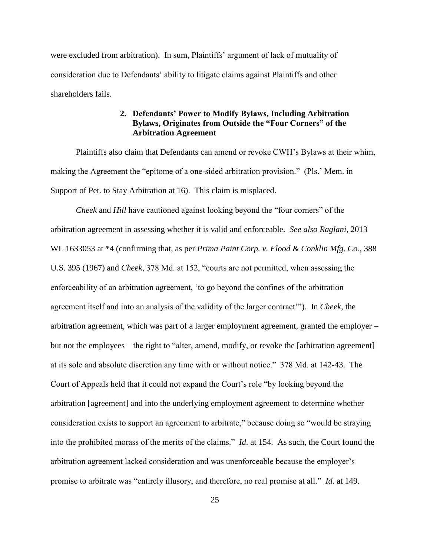were excluded from arbitration). In sum, Plaintiffs" argument of lack of mutuality of consideration due to Defendants" ability to litigate claims against Plaintiffs and other shareholders fails.

# **2. Defendants' Power to Modify Bylaws, Including Arbitration Bylaws, Originates from Outside the "Four Corners" of the Arbitration Agreement**

Plaintiffs also claim that Defendants can amend or revoke CWH"s Bylaws at their whim, making the Agreement the "epitome of a one-sided arbitration provision." (Pls." Mem. in Support of Pet. to Stay Arbitration at 16). This claim is misplaced.

*Cheek* and *Hill* have cautioned against looking beyond the "four corners" of the arbitration agreement in assessing whether it is valid and enforceable. *See also Raglani*, 2013 WL 1633053 at \*4 (confirming that, as per *Prima Paint Corp. v. Flood & Conklin Mfg. Co.*, 388 U.S. 395 (1967) and *Cheek*, 378 Md. at 152, "courts are not permitted, when assessing the enforceability of an arbitration agreement, "to go beyond the confines of the arbitration agreement itself and into an analysis of the validity of the larger contract""). In *Cheek,* the arbitration agreement, which was part of a larger employment agreement, granted the employer – but not the employees – the right to "alter, amend, modify, or revoke the [arbitration agreement] at its sole and absolute discretion any time with or without notice." 378 Md. at 142-43. The Court of Appeals held that it could not expand the Court"s role "by looking beyond the arbitration [agreement] and into the underlying employment agreement to determine whether consideration exists to support an agreement to arbitrate," because doing so "would be straying into the prohibited morass of the merits of the claims." *Id*. at 154. As such, the Court found the arbitration agreement lacked consideration and was unenforceable because the employer"s promise to arbitrate was "entirely illusory, and therefore, no real promise at all." *Id*. at 149.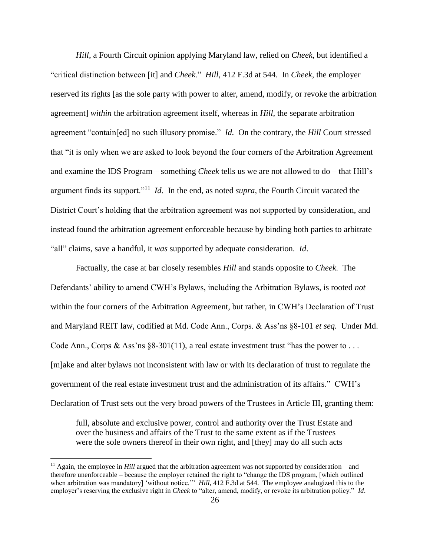*Hill*, a Fourth Circuit opinion applying Maryland law, relied on *Cheek*, but identified a "critical distinction between [it] and *Cheek*." *Hill*, 412 F.3d at 544. In *Cheek*, the employer reserved its rights [as the sole party with power to alter, amend, modify, or revoke the arbitration agreement] *within* the arbitration agreement itself, whereas in *Hill,* the separate arbitration agreement "contain[ed] no such illusory promise." *Id.* On the contrary, the *Hill* Court stressed that "it is only when we are asked to look beyond the four corners of the Arbitration Agreement and examine the IDS Program – something *Cheek* tells us we are not allowed to do – that Hill"s argument finds its support."<sup>11</sup> *Id*. In the end, as noted *supra*, the Fourth Circuit vacated the District Court's holding that the arbitration agreement was not supported by consideration, and instead found the arbitration agreement enforceable because by binding both parties to arbitrate "all" claims, save a handful, it *was* supported by adequate consideration. *Id*.

Factually, the case at bar closely resembles *Hill* and stands opposite to *Cheek.* The Defendants' ability to amend CWH's Bylaws, including the Arbitration Bylaws, is rooted *not* within the four corners of the Arbitration Agreement, but rather, in CWH"s Declaration of Trust and Maryland REIT law, codified at Md. Code Ann., Corps. & Ass"ns §8-101 *et seq.* Under Md. Code Ann., Corps & Ass'ns  $\S 8-301(11)$ , a real estate investment trust "has the power to ... [m]ake and alter bylaws not inconsistent with law or with its declaration of trust to regulate the government of the real estate investment trust and the administration of its affairs." CWH"s Declaration of Trust sets out the very broad powers of the Trustees in Article III, granting them:

full, absolute and exclusive power, control and authority over the Trust Estate and over the business and affairs of the Trust to the same extent as if the Trustees were the sole owners thereof in their own right, and [they] may do all such acts

<sup>&</sup>lt;sup>11</sup> Again, the employee in *Hill* argued that the arbitration agreement was not supported by consideration – and therefore unenforceable – because the employer retained the right to "change the IDS program, [which outlined when arbitration was mandatory] 'without notice." *Hill*, 412 F.3d at 544. The employee analogized this to the employer"s reserving the exclusive right in *Cheek* to "alter, amend, modify, or revoke its arbitration policy." *Id*.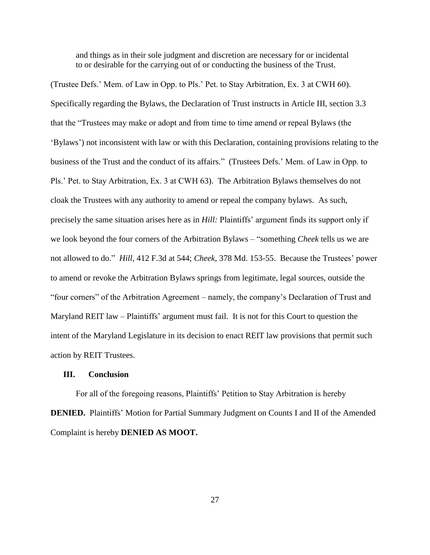and things as in their sole judgment and discretion are necessary for or incidental to or desirable for the carrying out of or conducting the business of the Trust.

(Trustee Defs." Mem. of Law in Opp. to Pls." Pet. to Stay Arbitration, Ex. 3 at CWH 60). Specifically regarding the Bylaws, the Declaration of Trust instructs in Article III, section 3.3 that the "Trustees may make or adopt and from time to time amend or repeal Bylaws (the "Bylaws") not inconsistent with law or with this Declaration, containing provisions relating to the business of the Trust and the conduct of its affairs." (Trustees Defs." Mem. of Law in Opp. to Pls." Pet. to Stay Arbitration, Ex. 3 at CWH 63). The Arbitration Bylaws themselves do not cloak the Trustees with any authority to amend or repeal the company bylaws. As such, precisely the same situation arises here as in *Hill:* Plaintiffs" argument finds its support only if we look beyond the four corners of the Arbitration Bylaws – "something *Cheek* tells us we are not allowed to do." *Hill*, 412 F.3d at 544; *Cheek*, 378 Md. 153-55. Because the Trustees" power to amend or revoke the Arbitration Bylaws springs from legitimate, legal sources, outside the "four corners" of the Arbitration Agreement – namely, the company"s Declaration of Trust and Maryland REIT law – Plaintiffs' argument must fail. It is not for this Court to question the intent of the Maryland Legislature in its decision to enact REIT law provisions that permit such action by REIT Trustees.

# **III. Conclusion**

For all of the foregoing reasons, Plaintiffs" Petition to Stay Arbitration is hereby **DENIED.** Plaintiffs' Motion for Partial Summary Judgment on Counts I and II of the Amended Complaint is hereby **DENIED AS MOOT.**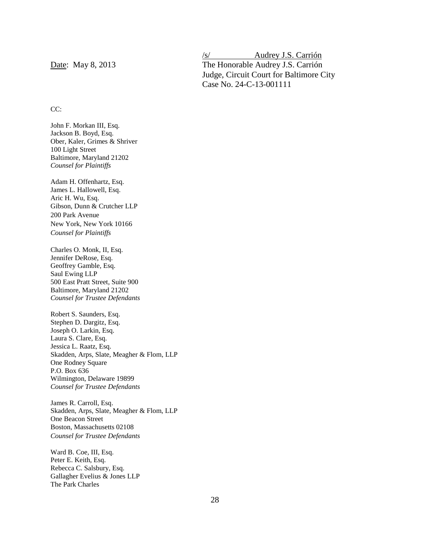/s/ Audrey J.S. Carrión Date: May 8, 2013 The Honorable Audrey J.S. Carrión Judge, Circuit Court for Baltimore City Case No. 24-C-13-001111

#### CC:

John F. Morkan III, Esq. Jackson B. Boyd, Esq. Ober, Kaler, Grimes & Shriver 100 Light Street Baltimore, Maryland 21202 *Counsel for Plaintiffs*

Adam H. Offenhartz, Esq. James L. Hallowell, Esq. Aric H. Wu, Esq. Gibson, Dunn & Crutcher LLP 200 Park Avenue New York, New York 10166 *Counsel for Plaintiffs*

Charles O. Monk, II, Esq. Jennifer DeRose, Esq. Geoffrey Gamble, Esq. Saul Ewing LLP 500 East Pratt Street, Suite 900 Baltimore, Maryland 21202 *Counsel for Trustee Defendants*

Robert S. Saunders, Esq. Stephen D. Dargitz, Esq. Joseph O. Larkin, Esq. Laura S. Clare, Esq. Jessica L. Raatz, Esq. Skadden, Arps, Slate, Meagher & Flom, LLP One Rodney Square P.O. Box 636 Wilmington, Delaware 19899 *Counsel for Trustee Defendants*

James R. Carroll, Esq. Skadden, Arps, Slate, Meagher & Flom, LLP One Beacon Street Boston, Massachusetts 02108 *Counsel for Trustee Defendants*

Ward B. Coe, III, Esq. Peter E. Keith, Esq. Rebecca C. Salsbury, Esq. Gallagher Evelius & Jones LLP The Park Charles